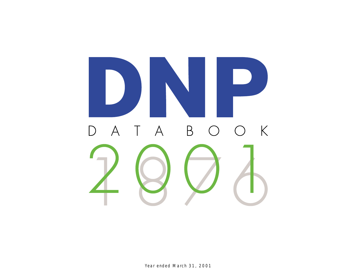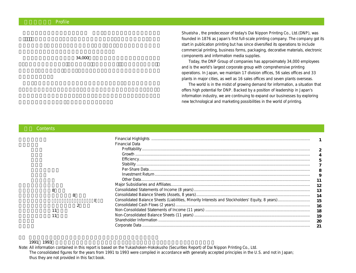### **Profile**

 $34,000$ 

Shueisha , the predecessor of today's Dai Nippon Printing Co., Ltd.(DNP), was founded in 1876 as Japan's first full-scale printing company. The company got its start in publication printing but has since diversified its operations to include commercial printing, business forms, packaging, decorative materials, electronic components and information media supplies.

Today, the DNP Group of companies has approximately 34,000 employees and is the world's largest corporate group with comprehensive printing operations. In Japan, we maintain 17 division offices, 56 sales offices and 33 plants in major cities, as well as 16 sales offices and seven plants overseas.

The world is in the midst of growing demand for information, a situation that offers high potential for DNP. Backed by a position of leadership in Japan's information industry, we are continuing to expand our businesses by exploring new technological and marketing possibilities in the world of printing.

### $\overline{8}$  $\overline{\textbf{8}}$  $\overline{\mathbf{8}}$  $\sim$  2  $\sim$  11 $\sim$  $\sim$  11 $\sim$ Financial Highlights .......................................................................................................................................... Financial Data Profitability .................................................................................................................................................. Growth ........................................................................................................................................................ Efficiency..................................................................................................................................................... Stability ....................................................................................................................................................... Per-Share Data............................................................................................................................................ Investment Return....................................................................................................................................... Other Data................................................................................................................................................... Major Subsidiaries and Affiliates......................................................................................................................... Consolidated Statements of Income (8 years)..................................................................................................... Consolidated Balance Sheets (Assets, 8 years)................................................................................................... Consolidated Balance Sheets (Liabilities, Minority Interests and Stockholders' Equity, 8 years)............................ Consolidated Cash Flows (2 years)..................................................................................................................... Non-Consolidated Statements of Income (11 years) ........................................................................................... Non-Consolidated Balance Sheets (11 years) ................................................................................................................ Shareholder Information .................................................................................................................................... Corporate Data .................................................................................................................................................. **1 2 4 5 7 8 9 11 12 13 14 15 16 18 19 20 21**

### 1991~1993年の連結財務諸表は米国会計基準に基づくため、当データブックには掲載されていません。

**目次** Contents

Note: All information contained in this report is based on the Yukashoken-Hokokusho (Securities Report) of Dai Nippon Printing Co., Ltd. The consolidated figures for the years from 1991 to 1993 were compiled in accordance with generally accepted principles in the U.S. and not in Japan; thus they are not provided in this fact book.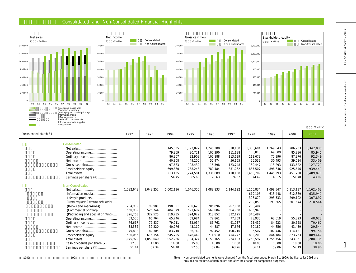### **Consolidated and Non-Consolidated Financial Highlights**









| Years ended March 31                               | 1992      | 1993      | 1994      | 1995      | 1996      | 1997      | 1998      | 1999      | 2000      | 2001      |
|----------------------------------------------------|-----------|-----------|-----------|-----------|-----------|-----------|-----------|-----------|-----------|-----------|
| Consolidated                                       |           |           |           |           |           |           |           |           |           |           |
|                                                    |           |           | 1,145,535 | 1,192,827 | 1,245,300 | 1,310,100 | 1,336,604 | 1,269,543 | 1,286,703 | 1,342,035 |
|                                                    |           |           | 79.969    | 90.721    | 100,390   | 111.188   | 106.818   | 69.609    | 85.886    | 85,941    |
|                                                    |           |           | 86,907    | 92,908    | 102,888   | 113,639   | 111,673   | 77.996    | 87,976    | 92,349    |
|                                                    |           |           | 40,808    | 49,200    | 52.974    | 56,165    | 56,539    | 30.493    | 39.034    | 33,409    |
|                                                    |           |           | 97,683    | 108,432   | 115,398   | 123,748   | 130,447   | 113,293   | 133,622   | 127,721   |
| Stockholders' equity                               |           |           | 699.860   | 738,243   | 780,484   | 831,262   | 885,507   | 898,646   | 925,646   | 939,441   |
|                                                    |           |           | 1,213,125 | 1,274,581 | 1,336,689 | 1.410.138 | 1,450,709 | 1,445,293 | 1,451,700 | 1,489,871 |
| Earnings per share (¥)                             |           |           | 54.45     | 65.63     | 70.63     | 74.52     | 74.49     | 40.15     | 51.40     | 43.99     |
| Non-Consolidated                                   |           |           |           |           |           |           |           |           |           |           |
|                                                    | 1,092,648 | 1,048,252 | 1,002,116 | 1,046,355 | 1,088,833 | 1,144,122 | 1,160,834 | 1,098,547 | 1,113,137 | 1,162,403 |
| Information media                                  |           |           |           |           |           |           | 619.105   | 613,448   | 612,389   | 635,941   |
| Lifestyle products                                 |           |           |           |           |           |           | 308,870   | 293,533   | 299,102   | 307,897   |
| Electronic components & Information media supplies |           |           |           |           |           |           | 232,859   | 191,565   | 201,644   | 218,564   |
| (Books and magazines)                              | 204,902   | 199,981   | 198,301   | 200,628   | 205,896   | 207,038   | 209,404   |           |           |           |
| (Commercial printing)                              | 560.982   | 525,744   | 484.079   | 521,697   | 569,084   | 604,958   | 605,943   |           |           |           |
| (Packaging and special printing)                   | 326,763   | 322,525   | 319,735   | 324,029   | 313,852   | 332,125   | 345,487   |           |           |           |
| Operating income                                   | 63,550    | 66,764    | 65.746    | 69.684    | 72,861    | 77.759    | 78.930    | 63.619    | 55,323    | 48,023    |
| Ordinary income                                    | 76,657    | 77,837    | 79,711    | 82,034    | 85,761    | 91.037    | 95,439    | 84,623    | 80,528    | 70,461    |
|                                                    | 38,532    | 39,220    | 40,776    | 43,110    | 44,887    | 47.676    | 50,182    | 44,856    | 43,439    | 29,544    |
| Gross cash flow                                    | 79,898    | 82,305    | 83,710    | 86,742    | 92,452    | 100,210   | 106,507   | 107.446   | 114,181   | 99,156    |
| Stockholders' equity                               | 586,066   | 616,154   | 645,795   | 678.442   | 711,910   | 754,242   | 802,209   | 844.184   | 873,763   | 889,447   |
|                                                    | 1,045,922 | 1,050,040 | 1,052,226 | 1,104,327 | 1,159,165 | 1,224,103 | 1,253,597 | 1,255,756 | 1,243,061 | 1,288,135 |
| Cash dividends per share (¥)                       | 12.50     | 13.00     | 14.00     | 15.00     | 16.00     | 17.00     | 18.00     | 18.00     | 18.00     | 18.00     |
| Earnings per share (¥)                             | 51.44     | 52.34     | 54.40     | 57.50     | 59.84     | 63.26     | 66.11     | 59.06     | 57.19     | 38.90     |
|                                                    |           |           |           |           |           |           |           |           |           |           |

FINANCIAL HIGHLGHTS

 $\overline{1}$ 

(**百万円 /** ¥ million)

1999 1998 **1998 1998** the state of the Mon-consolidated segments were changed from the fiscal year ended March 31, 1999; the figures for 1998 are provided on the basis of both before and after the change for comparison purposes.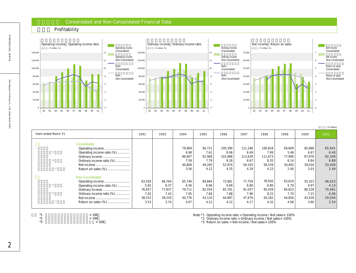### **財務データ** Consolidated and Non-Consolidated Financial Data

**収益性** Profitability





(**百万円 /** ¥ million)

|                                                                                                                                       |                                                    |                                                    |                                                    |                                                    |                                                      |                                                      |                                                      |                                                    |                                                    | $7 + 111111011$                                    |
|---------------------------------------------------------------------------------------------------------------------------------------|----------------------------------------------------|----------------------------------------------------|----------------------------------------------------|----------------------------------------------------|------------------------------------------------------|------------------------------------------------------|------------------------------------------------------|----------------------------------------------------|----------------------------------------------------|----------------------------------------------------|
| Years ended March 31                                                                                                                  | 1992                                               | 1993                                               | 1994                                               | 1995                                               | 1996                                                 | 1997                                                 | 1998                                                 | 1999                                               | 2000                                               | 2001                                               |
| Consolidated<br>Operating income<br>Operating income ratio (%)<br>Ordinary income<br>Ordinary income ratio (%)<br>Return on sales (%) |                                                    |                                                    | 79,969<br>6.98<br>86,907<br>7.59<br>40,808<br>3.56 | 90,721<br>7.61<br>92,908<br>7.79<br>49,200<br>4.12 | 100,390<br>8.06<br>102,888<br>8.26<br>52,974<br>4.25 | 111,188<br>8.49<br>113,639<br>8.67<br>56,165<br>4.29 | 106,818<br>7.99<br>111,673<br>8.35<br>56,539<br>4.23 | 69,609<br>5.48<br>77,996<br>6.14<br>30,493<br>2.40 | 85,886<br>6.67<br>87,976<br>6.84<br>39,034<br>3.03 | 85,941<br>6.40<br>92,349<br>6.88<br>33,409<br>2.49 |
| Non-Consolidated<br>Operating income ratio (%)<br>Ordinary income ratio (%)                                                           | 63,550<br>5.82<br>76,657<br>7.02<br>38,532<br>3.53 | 66,764<br>6.37<br>77,837<br>7.43<br>39,220<br>3.74 | 65,746<br>6.56<br>79,711<br>7.95<br>40,776<br>4.07 | 69,684<br>6.66<br>82,034<br>7.84<br>43,110<br>4.12 | 72,861<br>6.69<br>85,761<br>7.88<br>44,887<br>4.12   | 77,759<br>6.80<br>91,037<br>7.96<br>47,676<br>4.17   | 78,930<br>6.80<br>95,439<br>8.22<br>50,182<br>4.32   | 63,619<br>5.79<br>84,623<br>7.70<br>44,856<br>4.08 | 55,323<br>4.97<br>80,528<br>7.23<br>43,439<br>3.90 | 48,023<br>4.13<br>70,461<br>6.06<br>29,544<br>2.54 |

- $*1$   $\times 100$ <br> $*2$   $\times 100$
- $*2$   $\times 100$ <br> $*3$ 
	- $\times$  100

Note:\*1 Operating income ratio = Operating income / Net sales×100%

- \*2 Ordinary income ratio = Ordinary income / Net sales× 100%
- \*3 Return on sales = Net income / Net sales× 100%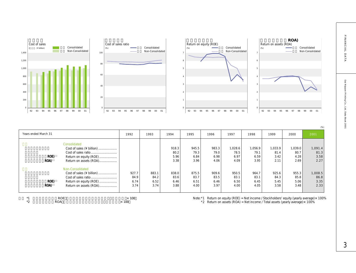







| Consolidated |                           |       |       |       |       |       |         |         |         |         |         |
|--------------|---------------------------|-------|-------|-------|-------|-------|---------|---------|---------|---------|---------|
|              |                           |       |       |       |       |       |         |         |         |         |         |
|              | Cost of sales (¥ billion) |       |       | 918.3 | 945.5 | 983.3 | 1,028.6 | 1,056.9 | 1,033.9 | 1.039.0 | 1,091.4 |
|              |                           |       |       | 80.2  | 79.3  | 79.0  | 78.5    | 79.1    | 81.4    | 80.7    | 81.3    |
| ROE)         | Return on equity (ROE)    |       |       | 5.96  | 6.84  | 6.98  | 6.97    | 6.59    | 3.42    | 4.28    | 3.58    |
| ROA)         | Return on assets (ROA)    |       |       | 3.38  | 3.96  | 4.06  | 4.09    | 3.95    | 2.11    | 2.69    | 2.27    |
|              | Non-Consolidated          |       |       |       |       |       |         |         |         |         |         |
|              | Cost of sales (¥ billion) | 927.7 | 883.1 | 838.0 | 875.5 | 909.6 | 950.5   | 964.7   | 925.6   | 955.3   | 1,008.5 |
|              |                           | 84.9  | 84.2  | 83.6  | 83.7  | 83.5  | 83.1    | 83.7    | 84.3    | 85.8    | 86.8    |
| ROE)         | Return on equity (ROE)    | 6.74  | 6.52  | 6.46  | 6.51  | 6.46  | 6.50    | 6.45    | 5.45    | 5.06    | 3.35    |
| ROA)         | Return on assets (ROA)    | 3.74  | 3.74  | 3.88  | 4.00  | 3.97  | 4.00    | 4.05    | 3.58    | 3.48    | 2.33    |

0 1 2

 $*2$  ROA  $*100$ 

Note: \*1 Return on equity (ROE) = Net income / Stockholders' equity (yearly average) × 100% \*2 Return on assets (ROA) = Net income / Total assets (yearly average)× 100%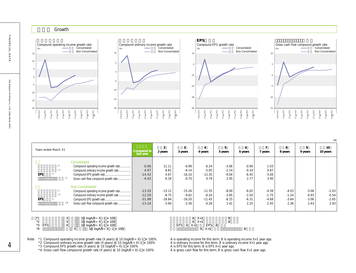

| Years ended March 31 |                                                       | Compared to<br>last year | $\overline{2}$<br>2 years | 3<br>3 years | 4<br>4 years  | 5<br>5 years | 6<br>6 years | 7 years | 8<br>8 years | 9<br>9 years | 10<br>10 years |
|----------------------|-------------------------------------------------------|--------------------------|---------------------------|--------------|---------------|--------------|--------------|---------|--------------|--------------|----------------|
|                      | Consolidated<br>Compound operating income growth rate | 0.06                     | 11.11                     | $-6.99$      | $-6.24$       | $-3.06$      | $-0.90$      | 1.03    |              |              |                |
|                      | Compound ordinary income growth rate                  | 4.97                     | 8.81                      | $-6.14$      | $-5.05$       | $-2.14$      | $-0.10$      | 0.87    |              |              |                |
| EPS                  |                                                       | $-14.42$                 | 4.67                      | $-16.10$     | $-12.35$      | $-9.04$      | $-6.45$      | $-3.00$ |              |              |                |
|                      | Gross cash flow compound growth rate                  | $-4.42$                  | 6.18                      | $-0.70$      | 0.79          | 2.05         | 2.77         | 3.90    |              |              |                |
|                      | Non-Consolidated                                      |                          |                           |              |               |              |              |         |              |              |                |
|                      | Compound operating income growth rate                 | $-13.20$                 | $-13.12$                  | $-15.26$     | $-11.35$      | $-8.00$      | $-6.02$      | $-4.39$ | $-4.03$      | $-3.06$      | $-2.03$        |
|                      | Compound ordinary income growth rate                  | $-12.50$                 | $-8.75$                   | $-9.62$      | $-6.20$       | $-3.85$      | $-2.50$      | $-1.75$ | $-1.24$      | $-0.93$      | $-0.54$        |
| EPS                  |                                                       | $-31.98$                 | $-18.84$                  | $-16.20$     | $-11.45$      | $-8.25$      | $-6.31$      | $-4.68$ | $-3.64$      | $-3.06$      | $-2.65$        |
|                      | Gross cash flow compound growth rate                  | $-13.16$                 | $-3.94$                   | $-2.36$      | $-0.26$       | 1.41         | 2.25         | 2.45    | 2.36         | 2.43         | 2.93           |
|                      |                                                       |                          |                           |              |               |              |              |         |              |              |                |
|                      | х<br>10 $logAB \div X - 1 \times 100$                 |                          |                           |              | $A \quad X+1$ | B            |              |         |              |              |                |
| *2                   | 10 $logAB \div X - 1 \times 100$<br>⋏                 |                          |                           |              | $A \quad X+1$ | B            |              |         |              |              |                |

|        | $10$ IVYM/D $\overline{7}$ A $-1$ A IW | $A^+$                      |
|--------|----------------------------------------|----------------------------|
| ∠      | 10 $logAB \div X - 1 \times 100$       | $A \times f$               |
| *3 EPS | 10 $logAB \div X - 1 \times 100$       | EPS $A \times +1$<br>EPS B |
|        | 10 $\ln A$ $R = Y - 1 \times 1$ m      | A Y⊥1                      |

| 10 $logAB \div X - 1 \times 100$ | $A \times +1$          | в  |
|----------------------------------|------------------------|----|
| 10 $logAB \div X - 1 \times 100$ | $A \times +1$          |    |
| 10 $logAB \div X - 1 \times 100$ | $EPS$ A $X+1$<br>EPS B |    |
| 10 $logAB \div X - 1 \times 100$ | $A \times +1$          | B. |

Note: \*1 Compound operating income growth rate (X years) = 10 (logA/B÷X)-1 × 100% A is operating income for this term; B is operating income X+1 year ago.

\*3 Compound EPS growth rate (X years) = 10 (logA/B÷ X)-1 × 100% A is EPS for this term; B is EPS X+1 year ago.

\*4 Gross cash flow compound growth rate (X years) = 10 (logA/B÷X)-1 × 100% A is gross cash flow for this term; B is gross cash flow X+1 year ago.

\*2 Compound ordinary income growth rate (X years) = 10 (logA/B÷X)-1 × 100% A is ordinary income for this term; B is ordinary income X+1 year ago.

 $\overline{4}$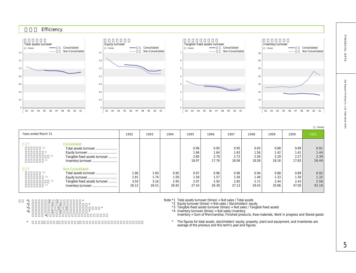

|                                |       |       |       |       |       |       |       |       |       | /times) |
|--------------------------------|-------|-------|-------|-------|-------|-------|-------|-------|-------|---------|
| Years ended March 31           | 1992  | 1993  | 1994  | 1995  | 1996  | 1997  | 1998  | 1999  | 2000  | 2001    |
| Consolidated                   |       |       |       |       |       |       |       |       |       |         |
| Total assets turnover          |       |       |       | 0.96  | 0.95  | 0.95  | 0.93  | 0.88  | 0.89  | 0.91    |
|                                |       |       |       | 1.66  | 1.64  | 1.63  | 1.56  | 1.42  | 1.41  | 1.44    |
| Tangible fixed assets turnover |       |       |       | 2.80  | 2.78  | 2.72  | 2.58  | 2.29  | 2.27  | 2.39    |
|                                |       |       |       | 18.97 | 17.76 | 18.06 | 18.58 | 18.16 | 17.83 | 16.44   |
| Non-Consolidated               |       |       |       |       |       |       |       |       |       |         |
| Total assets turnover          | 1.06  | 1.00  | 0.95  | 0.97  | 0.96  | 0.96  | 0.94  | 0.88  | 0.89  | 0.92    |
|                                | 1.91  | 1.74  | 1.59  | 1.58  | 1.57  | 1.56  | 1.49  | 1.33  | 1.30  | 1.32    |
| Tangible fixed assets turnover | 3.50  | 3.16  | 2.95  | 2.97  | 2.92  | 2.85  | 2.72  | 2.44  | 2.43  | 2.56    |
| Inventory turnover             | 26.12 | 26.51 | 26.92 | 27.43 | 26.39 | 27.13 | 29.43 | 35.86 | 47.00 | 42.19   |
|                                |       |       |       |       |       |       |       |       |       |         |

 $*1$   $*$  $*2$   $*$  $*3$   $*$  $*4$   $*$ 

注) \*4 棚卸資産=商品、製品、原材料、仕掛品、貯蔵品の合計

 $\star$ 

Note:\*1 Total assets turnover (times) = Net sales / Total assets

\*2 Equity turnover (times) = Net sales / Stockholders' equity

\*3 Tangible fixed assets turnover (times) = Net sales / Tangible fixed assets

\*4 Inventory turnover (times) = Net sales/ Inventory

Inventory = Sum of Merchandise, Finished products, Raw materials, Work in progress and Stored goods

\* The figures for total assets, stockholders' equity, property, plant and equipment, and inventories are average of the previous and this term's year-end figures.

FINANCIAL DATA

Dai Nippon Printing Co., Ltd. Data Book 2001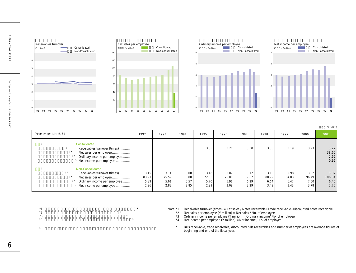







|                                                                                                                                                    |                               |                               |                               |                               |                               |                               |                               |                               |                               | $/$ ¥ million)                 |
|----------------------------------------------------------------------------------------------------------------------------------------------------|-------------------------------|-------------------------------|-------------------------------|-------------------------------|-------------------------------|-------------------------------|-------------------------------|-------------------------------|-------------------------------|--------------------------------|
| Years ended March 31                                                                                                                               | 1992                          | 1993                          | 1994                          | 1995                          | 1996                          | 1997                          | 1998                          | 1999                          | 2000                          | 2001                           |
| Consolidated<br>Receivables turnover (times)<br>Net sales per employee<br>Ordinary income per employee<br><sup>4</sup> Net income per employee     |                               |                               |                               | 3.35                          | 3.26                          | 3.30                          | 3.38                          | 3.19                          | 3.23                          | 3.22<br>38.65<br>2.66<br>0.96  |
| Non-Consolidated<br>Receivables turnover (times)<br>Net sales per employee<br>Ordinary income per employee<br><sup>4</sup> Net income per employee | 3.15<br>83.91<br>5.89<br>2.96 | 3.14<br>75.59<br>5.61<br>2.83 | 3.08<br>70.00<br>5.57<br>2.85 | 3.16<br>72.65<br>5.70<br>2.99 | 3.07<br>75.06<br>5.91<br>3.09 | 3.12<br>79.07<br>6.29<br>3.29 | 3.18<br>80.79<br>6.64<br>3.49 | 2.98<br>84.03<br>6.47<br>3.43 | 3.02<br>96.79<br>7.00<br>3.78 | 3.02<br>106.34<br>6.45<br>2.70 |

 $*$ 1  $*$ 

 $\star$ 

- $*2$   $*$  $*3$   $*$  $*$ 4  $*$
- Note:\*1 Receivable turnover (times) = Net sales / Notes receivable+Trade receivable+Discounted notes receivable
	- \*2 Net sales per employee (¥ million) = Net sales / No. of employee  $*3$  Ordinary income per employee (¥ million) = Ordinary income/ No. of employee
	- $*4$  Net income per employee (¥ million) = Net income / No. of employee
		- \* Bills receivable, trade receivable, discounted bills receivables and number of employees are average figures of beginning and end of the fiscal year.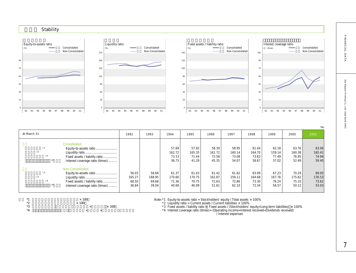

|                                                                                                                 |                                   |                                   |                                   |                                   |                                   |                                   |                                   |                                   |                                   | (% )                              |
|-----------------------------------------------------------------------------------------------------------------|-----------------------------------|-----------------------------------|-----------------------------------|-----------------------------------|-----------------------------------|-----------------------------------|-----------------------------------|-----------------------------------|-----------------------------------|-----------------------------------|
| At March 31                                                                                                     | 1992                              | 1993                              | 1994                              | 1995                              | 1996                              | 1997                              | 1998                              | 1999                              | 2000                              | 2001                              |
| Consolidated<br>Equity-to-assets ratio<br>Fixed assets / liability ratio                                        |                                   |                                   | 57.69<br>162.72<br>73.13          | 57.92<br>165.35<br>71.44          | 58.39<br>161.72<br>72.58          | 58.95<br>160.14<br>73.08          | 61.04<br>164.70<br>73.63          | 62.18<br>159.14<br>77.49          | 63.76<br>160.38<br>76.95          | 63.06<br>165.41<br>74.94          |
| Interest coverage ratio (times)                                                                                 |                                   |                                   | 36.73                             | 41.29                             | 45.35                             | 54.07                             | 58.67                             | 37.02                             | 52.49                             | 59.40                             |
| Non-Consolidated<br>Equity-to-assets ratio<br>Fixed assets / liability ratio<br>Interest coverage ratio (times) | 56.03<br>165.27<br>68.50<br>36.84 | 58.68<br>168.95<br>69.68<br>39.04 | 61.37<br>170.60<br>71.36<br>40.69 | 61.43<br>170.75<br>70.75<br>46.99 | 61.42<br>162.87<br>72.63<br>51.61 | 61.62<br>159.11<br>72.86<br>62.10 | 63.99<br>164.68<br>73.30<br>72.34 | 67.23<br>167.76<br>76.24<br>56.57 | 70.29<br>175.82<br>75.10<br>50.12 | 69.05<br>176.53<br>73.62<br>53.03 |

 $*1$ <br> $*2$ <br> $*3$ <br> $*4$ <br> $*4$ <br> $*3$  $\times$  100

 $^{*}4$  + +

 $*3$  +  $\times 100$ 

Note: \*1 Equity-to-assets ratio = Stockholders' equity / Total assets x 100%  $*2$  Liquidity ratio = Current assets / Current liabilities  $\times$  100%

\*3 Fixed assets / liability ratio = Fixed assets / (Stockholders' equity+Long-term liabilities) × 100%<br>\*4 Interest coverage ratio (times)= (Operating income+Interest received+Dividends received)

Note that the *Note of The Interest expenses* 

FINANCIAL DATA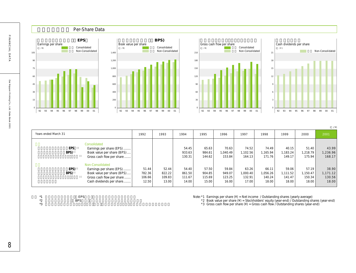

| Years ended March 31 |                                                                                                                                     | 1992                               | 1993                               | 1994                               | 1995                               | 1996                               | 1997                                 | 1998                                 | 1999                                 | 2000                                 | 2001                                 |
|----------------------|-------------------------------------------------------------------------------------------------------------------------------------|------------------------------------|------------------------------------|------------------------------------|------------------------------------|------------------------------------|--------------------------------------|--------------------------------------|--------------------------------------|--------------------------------------|--------------------------------------|
| <b>EPS</b><br>BPS)   | Consolidated<br>Earnings per share (EPS)<br>Book value per share (BPS)<br>Gross cash flow per share                                 |                                    |                                    | 54.45<br>933.63<br>130.31          | 65.63<br>984.61<br>144.62          | 70.63<br>1.040.49<br>153.84        | 74.52<br>1.102.56<br>164.13          | 74.49<br>1.165.94<br>171.76          | 40.15<br>1.183.24<br>149.17          | 51.40<br>1.218.79<br>175.94          | 43.99<br>1,236.96<br>168.17          |
| EPS)<br>BPS)         | Non-Consolidated<br>Earnings per share (EPS)<br>Book value per share (BPS)<br>Gross cash flow per share<br>Cash dividends per share | 51.44<br>782.36<br>106.66<br>12.50 | 52.44<br>822.22<br>109.83<br>13.00 | 54.40<br>861.50<br>111.67<br>14.00 | 57.50<br>904.85<br>115.69<br>15.00 | 59.84<br>949.07<br>123.25<br>16.00 | 63.26<br>1.000.40<br>132.91<br>17.00 | 66.11<br>1.056.26<br>140.24<br>18.00 | 59.06<br>1.111.52<br>141.47<br>18.00 | 57.19<br>1.150.47<br>150.34<br>18.00 | 38.90<br>1,171.12<br>130.56<br>18.00 |

| $*1$   | <b>EPS</b><br>-- |  |
|--------|------------------|--|
| $\sim$ | $\sim$ $\sim$    |  |

 $*2$  BPS,  $*3$  $*3$  Note:\*1 Earnings per share (¥) = Net income / Outstanding shares (yearly average)

\*2 Book value per share (¥) = Stockholders' equity (year-end) / Outstanding shares (year-end)

\*3 Gross cash flow per share (¥) = Gross cash flow / Outstanding shares (year-end)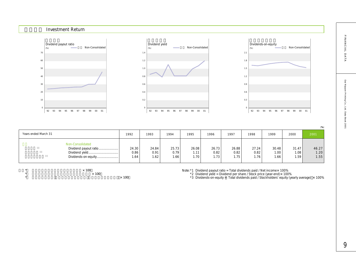FINANCIAL DATA

|                                                                  |                       |                       |                        |                       |                       |                       |                       |                       |                       | (% )                  |
|------------------------------------------------------------------|-----------------------|-----------------------|------------------------|-----------------------|-----------------------|-----------------------|-----------------------|-----------------------|-----------------------|-----------------------|
| Years ended March 31                                             | 1992                  | 1993                  | 1994                   | 1995                  | 1996                  | 1997                  | 1998                  | 1999                  | 2000                  | 2001                  |
| Non-Consolidated<br>Dividend payout ratio<br>Dividends-on-equity | 24.30<br>0.86<br>1.64 | 24.84<br>0.91<br>1.62 | 25.73<br>0.79<br>1.66. | 26.08<br>1.11<br>1.70 | 26.73<br>0.82<br>1.73 | 26.88<br>0.82<br>1.75 | 27.24<br>0.82<br>1.76 | 30.48<br>1.00<br>1.66 | 31.47<br>1.08<br>1.59 | 46.27<br>1.20<br>1.55 |

92 93 94 95 96 97 98 99 00 01

**単体** Non-Consolidated

Dividend yield  $(%)$ 

 $\begin{array}{c|c}\n \star & \star & \star & 100 \\
\star & \star & \star & \star & 100\n \end{array}$ 

 $*$  x 100  $\star$   $\times$  100

Dividend payout ratio

**投資指標** Investment Return

92 93 94 95 96 97 98 99 00 01

**単体** Non-Consolidated

(%)

Note: \*1 Dividend payout ratio = Total dividends paid / Net income x 100%

\*2 Dividend yield = Dividend per share / Stock price (year-end)× 100%

\*3 Dividends-on-equity = Total dividends paid / Stockholders' equity (yearly average) × 100%

Dividends-on-equity

92 93 94 95 96 97 98 99 00 01

**単体** Non-Consolidated

(%)

 $\epsilon$ 0.3 0.6 0.9 1.2 1.5 1.8 2.1

 $\sqrt{2}$ 0.2 0.4 0.6 0.8 1.0 1.2 1.4

9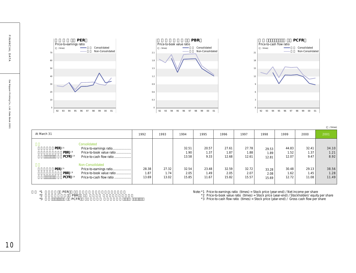





|                                                                                                                                           |                        |                        |                        |                        |                        |                        |                        |                        |                        | /times)                |
|-------------------------------------------------------------------------------------------------------------------------------------------|------------------------|------------------------|------------------------|------------------------|------------------------|------------------------|------------------------|------------------------|------------------------|------------------------|
| At March 31                                                                                                                               | 1992                   | 1993                   | 1994                   | 1995                   | 1996                   | 1997                   | 1998                   | 1999                   | 2000                   | 2001                   |
| Consolidated<br>PER)<br>Price-to-earnings ratio<br>PBR) <sup>2</sup><br>Price-to-book value ratio<br>$PCFR$ )<br>Price-to-cash flow ratio |                        |                        | 32.51<br>1.90<br>13.58 | 20.57<br>1.37<br>9.33  | 27.61<br>1.87<br>12.68 | 27.78<br>1.88<br>12.61 | 29.53<br>1.89<br>12.81 | 44.83<br>1.52<br>12.07 | 32.41<br>1.37<br>9.47  | 34.10<br>1.21<br>8.92  |
| Non-Consolidated<br>PER)<br>Price-to-earnings ratio<br>PBR) $2$<br>Price-to-book value ratio<br>PCFR)<br>Price-to-cash flow ratio         | 28.38<br>1.87<br>13.69 | 27.32<br>1.74<br>13.02 | 32.54<br>2.05<br>15.85 | 23.48<br>1.49<br>11.67 | 32.59<br>2.05<br>15.82 | 32.72<br>2.07<br>15.57 | 33.28<br>2.08<br>15.69 | 30.48<br>1.62<br>12.72 | 29.13<br>1.45<br>11.08 | 38.56<br>1.28<br>11.49 |

| $*1$     | PER |             |  |  |  |
|----------|-----|-------------|--|--|--|
| $*$<br>∸ |     | <b>PBR</b>  |  |  |  |
| ×ء<br>ັ  |     | <b>PCFR</b> |  |  |  |

Note:\*1 Price-to-earnings ratio (times) = Stock price (year-end) / Net income per share

\*2 Price-to-book value ratio (times) = Stock price (year-end) / Stockholders' equity per share

\*3 Price-to-cash flow ratio (times) = Stock price (year-end) / Gross cash flow per share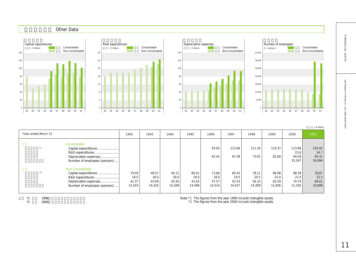

|                      |                                                                                                                        |                                  |                                  |                                  |                                  |                                  |                                  |                                  |                                  |                                   | / ¥ billion)                      |
|----------------------|------------------------------------------------------------------------------------------------------------------------|----------------------------------|----------------------------------|----------------------------------|----------------------------------|----------------------------------|----------------------------------|----------------------------------|----------------------------------|-----------------------------------|-----------------------------------|
| Years ended March 31 |                                                                                                                        | 1992                             | 1993                             | 1994                             | 1995                             | 1996                             | 1997                             | 1998                             | 1999                             | 2000                              | 2001                              |
|                      | Consolidated<br>Capital expenditures<br>R&D expenditures<br>Depreciation expenses<br>Number of employees (persons)     |                                  |                                  |                                  |                                  | 93.65<br>62.42                   | 113.66<br>67.58                  | 111.34<br>73.91                  | 119.37<br>82.80                  | 113.86<br>23.6<br>94.59<br>35,347 | 103.05<br>24.7<br>94.31<br>34,094 |
|                      | Non-Consolidated<br>Capital expenditures<br>R&D expenditures<br>Depreciation expenses<br>Number of employees (persons) | 79.49<br>16.0<br>41.37<br>13,410 | 48.57<br>18.0<br>43.09<br>14,325 | 56.11<br>18.0<br>42.93<br>14,308 | 60.01<br>18.0<br>43.63<br>14,498 | 73.66<br>18.0<br>47.57<br>14,514 | 85.43<br>19.5<br>52.53<br>14,427 | 78.11<br>20.5<br>56.33<br>14,309 | 86.08<br>22.0<br>62.59<br>11,836 | 88.39<br>21.0<br>70.74<br>11,165  | 78.87<br>22.3<br>69.61<br>10,698  |

 $*1$   $*2$   $*2000$  $*2$  2000

Note:\*1 The figures from the year 1996 include intangible assets.

\*2 The figures from the year 2000 include intangible assets.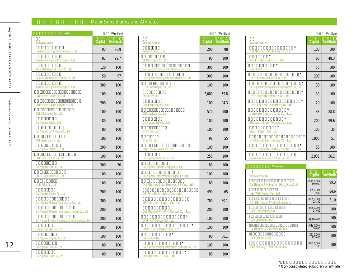# **Major Subsidiaries and Affiliates**

| Domestic                                          | $\left($ | /\ million)     |  |  |  |  |
|---------------------------------------------------|----------|-----------------|--|--|--|--|
| Company name                                      | Capital  | Ownership ratio |  |  |  |  |
| Hokkaido Dai Nippon Printing Co., Ltd.            | 93       | 96.9            |  |  |  |  |
| Tohoku Dai Nippon Printing Co., Ltd               | 82       | 99.7            |  |  |  |  |
| Tokai Dai Nippon Printing Co., Ltd.               | 120      | 100             |  |  |  |  |
| Shikoku Dai Nippon Printing Co., Ltd.             | 50       | 97              |  |  |  |  |
| Kyushu Dai Nippon Printing Co., Ltd.              | 380      | 100             |  |  |  |  |
| DNP Media Create Co., Ltd.                        | 100      | 100             |  |  |  |  |
| DNP Media Create Kansai Co., Ltd.                 | 200      | 100             |  |  |  |  |
| DNP Digitalcom Co., Ltd.                          | 100      | 100             |  |  |  |  |
| Dai Nippon Art Co., Ltd.                          | 80       | 100             |  |  |  |  |
| Dai Nippon Uni Process Co., Ltd.                  | 80       | 100             |  |  |  |  |
| DNP Graphica Co., Ltd.                            | 100      | 100             |  |  |  |  |
| Dai Nippon Offset Co., Ltd.                       | 200      | 100             |  |  |  |  |
| DNP Data Techno Co., Ltd.                         | 100      | 100             |  |  |  |  |
| Dai Nippon Ellio Co., Ltd.                        | 300      | 50              |  |  |  |  |
| I.M.S. Dai Nippon Co., Ltd.                       | 100      | 100             |  |  |  |  |
| Multi Print Co., Ltd.                             | 100      | 100             |  |  |  |  |
| Dai Nippon Seihon Co., Ltd.                       | 200      | 100             |  |  |  |  |
| Dai Nippon Printing Technopack Co., Ltd.          | 300      | 100             |  |  |  |  |
| Dai Nippon Printing Technopack Kansai Co., Ltd.   | 200      | 100             |  |  |  |  |
| Dai Nippon Printing Technopack Yokohama Co., Ltd. | 200      | 100             |  |  |  |  |
| Dainippon Jushi Co., Ltd.                         | 380      | 100             |  |  |  |  |
| Dai Nippon Polymer Co., Ltd.                      | 100      | 100             |  |  |  |  |
| Dai Nippon Cup Co., Ltd.                          | 80       | 100             |  |  |  |  |
| Dai Nippon Hoso Co., Ltd.                         | 80       | 100             |  |  |  |  |

| Domestic                                          | $\left($         | /\ million)     |                                                   | $\left($ | /\ million)     |            |
|---------------------------------------------------|------------------|-----------------|---------------------------------------------------|----------|-----------------|------------|
| Company name                                      | Capital          | Ownership ratio | Company name                                      | Capital  | Ownership ratio | Comp       |
| Hokkaido Dai Nippon Printing Co., Ltd.            | 93               | 96.9            | Sagami Yoki Co., Ltd.                             | 200      | 90              | Dai        |
| Tohoku Dai Nippon Printing Co., Ltd               | 82               | 99.7            | SP Dai Nippon Co., Ltd.                           | 80       | 100             | Kyoi       |
| Tokai Dai Nippon Printing Co., Ltd.               | 120              | 100             | Dai Nippon Printing Fine Electronics Co., Ltd.    | 300      | 100             | Trar       |
| Shikoku Dai Nippon Printing Co., Ltd.             | 50               | 97              | Dai Nippon Printing Precision Device Co., Ltd.    | 300      | 100             | <b>DNF</b> |
| Kyushu Dai Nippon Printing Co., Ltd.              | 380              | 100             | F.D.P. Dai Nippon Co., Ltd.                       | 100      | 100             | Dai N      |
| DNP Media Create Co., Ltd.                        | 100              | 100             | The Inctec Inc.                                   | 2,000    | 59.8            | <b>DNF</b> |
| DNP Media Create Kansai Co., Ltd.                 | 200              | 100             | Dainippon Shoji Co., Ltd.                         | 100      | 94.3            | <b>DNF</b> |
| DNP Digitalcom Co., Ltd.                          | 100              | 100             | DNP Logistics Co., Ltd.                           | 570      | 100             | Uzu        |
| Dai Nippon Art Co., Ltd.                          | 80               | 100             | Dai Nippon Soko Co., Ltd.                         | 100      | 100             | Shio       |
| Dai Nippon Uni Process Co., Ltd.                  | 80               | 100             | D.N.K Co., Ltd.                                   | 100      | 100             | Spor       |
| DNP Graphica Co., Ltd.                            | 100              | 100             | Direc Co., Ltd.                                   | 96       | 55              | D.T.       |
| Dai Nippon Offset Co., Ltd.                       | 200              | 100             | DNP Facility Service Co., Ltd.                    | 100      | 100             | <b>DNF</b> |
| DNP Data Techno Co., Ltd.                         | 100              | 100             | Dai Nippon Kaihatsu Co., Ltd.                     | 250      | 100             | Hokk       |
| Dai Nippon Ellio Co., Ltd.                        | 300              | 50              | Dai Nippon Techtas Ichigaya Co., Ltd.             | 80       | 100             |            |
| I.M.S. Dai Nippon Co., Ltd.                       | 100              | 100             | Dai Nippon Total Process Ichigaya Co., Ltd.       | 100      | 100             | Com        |
| Multi Print Co., Ltd.                             | 100 <sup>°</sup> | 100             | Dai Nippon Total Process BF Co., Ltd.             | 80       | 100             | Dai N      |
| Dai Nippon Seihon Co., Ltd.                       | 200              | 100             | DT Fine Electronics Co., Ltd.                     | 490      | 65              | Tien       |
| Dai Nippon Printing Technopack Co., Ltd.          | 300              | 100             | MyPoint.com Japan Co., Ltd.                       | 700      | 80.1            | P.T.       |
| Dai Nippon Printing Technopack Kansai Co., Ltd.   | 200              | 100             | Dai Nippon Printing Kenzai Co., Ltd.              | 200      | 100             | <b>DNP</b> |
| Dai Nippon Printing Technopack Yokohama Co., Ltd. | 200              | 100             | DNP AV Center Co., Ltd.                           | 100      | 100             | <b>DNP</b> |
| Dainippon Jushi Co., Ltd.                         | 380              | 100             | DNP Space Design Co., Ltd.                        | 100      | 100             | Dai N      |
| Dai Nippon Polymer Co., Ltd.                      | 100              | 100             | D-Square Inc.                                     | 80       | 80.1            | <b>DNP</b> |
| Dai Nippon Cup Co., Ltd.                          | 80               | 100             | Dai Nippon Pringing Information Systems Co., Ltd. | 100      | 100             | <b>DNP</b> |
| Dai Nippon Hoso Co., Ltd.                         | 80               | 100             | Dai Nippon ISD Co., Ltd.                          | 80       | 100             |            |

|                                                            | (       | /\ million)     |
|------------------------------------------------------------|---------|-----------------|
| Company name                                               | Capital | Ownership ratio |
| $\star$<br>Dai Nippon LSI Design Co., Ltd.                 | 100     | 100             |
| *<br>Kyoiku Shuppan Co., Ltd.                              | 60      | 48.3            |
| Trans Art Inc.                                             | 50      | 100             |
| $\star$<br>DNP Archives.Com Co., Ltd.                      | 200     | 100             |
| $\star$<br>Dai Nippon Printing Accounting System Co., Ltd. | 30      | 100             |
| $\star$<br>DNP Human Service Co., Ltd.                     | 30      | 100             |
| $\star$<br>DNP Techno Research Co., Ltd.                   | 20      | 100             |
| Uzumine Country Club Co., Ltd.                             | 33      | 88.8            |
| Shiobara Green Village Co., Ltd.                           | 200     | 99.6            |
| Spom Japan Co., Ltd.                                       | 100     | 35              |
| $\star$<br>D.T.Circuit Technology Co., Ltd.                | 1,000   | 51              |
| $\star$<br>DNP Corporate History Center Co., Ltd.          | 50      | 100             |
| Hokkaido Coca-Cola Bottling Co., Ltd.                      | 2,935   | 56.2            |

| Overseas                                  |                         |                 |
|-------------------------------------------|-------------------------|-----------------|
| Company name                              | Capital                 | Ownership ratio |
| Dai Nippon Printing Co., (Hokg Kong) Ltd. | (HK\$ 1,000)<br>150,000 | 99.3            |
| Tien Wah Press (Pte.) Ltd.                | (S\$ 1,000)<br>4.600    | 84.6            |
| P.T. Dai Nippon Printing Indonesia        | (US\$ 1,000)<br>25,100  | 51.0            |
| <b>DNP Corporation USA</b>                | (US\$ 1,000)<br>24,000  | 100             |
| DNP (America), Inc.                       | US\$ 100,000            | 100             |
| Dai Nippon IMS (America) Corp.            | (US\$ 1,000)<br>20,000  | 100             |
| <b>DNP Denmark A/S</b>                    | (DKr 1,000)<br>135,000  | 100             |
| <b>DNP Holding (USA) Corporation</b>      | (US\$ 1,000)<br>100     | 100             |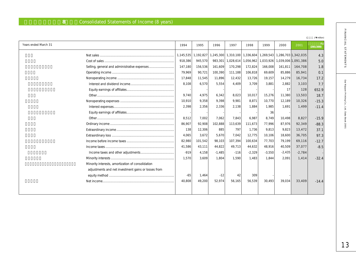## 8 Consolidated Statements of Income (8 years)

|                      |                                                     |           |           |          |         |                       |                                                             |          |                     | /\ million) |
|----------------------|-----------------------------------------------------|-----------|-----------|----------|---------|-----------------------|-------------------------------------------------------------|----------|---------------------|-------------|
| Years ended March 31 |                                                     | 1994      | 1995      | 1996     | 1997    | 1998                  | 1999                                                        | 2000     | 2001                | (2001/2000) |
|                      |                                                     | 1,145,535 | 1,192,827 |          |         |                       | 1,245,300 1,310,100 1,336,604 1,269,543 1,286,703 1,342,035 |          |                     | 4.3         |
|                      |                                                     | 918,386   | 945,570   | 983,301  |         | 1,028,614   1,056,962 | 1,033,926                                                   |          | 1,039,006 1,091,386 | 5.0         |
|                      | Selling, general and administrative expenses        | 147,180   | 156,536   | 161,609  | 170,298 | 172,824               | 166,008                                                     | 161,811  | 164,708             | 1.8         |
|                      |                                                     | 79,969    | 90,721    | 100,390  | 111,188 | 106,818               | 69,609                                                      | 85,886   | 85,941              | 0.1         |
|                      |                                                     | 17,848    | 11,545    | 11,896   | 12,432  | 13,726                | 19,157                                                      | 14,279   | 16,734              | 17.2        |
|                      |                                                     | 8,108     | 6,570     | 5,554    | 4.409   | 3.709                 | 3,881                                                       | 2,882    | 3,103               | 7.7         |
|                      |                                                     |           |           |          |         |                       |                                                             | 17       | 128                 | 652.9       |
|                      |                                                     | 9.740     | 4.975     | 6.342    | 8,023   | 10,017                | 15,276                                                      | 11,380   | 13,503              | 18.7        |
|                      |                                                     | 10.910    | 9.358     | 9.398    | 9.981   | 8.871                 | 10,770                                                      | 12,189   | 10,326              | $-15.3$     |
|                      |                                                     | 2.398     | 2.356     | 2,336    | 2.138   | 1.884                 | 1.985                                                       | 1.691    | 1,499               | $-11.4$     |
|                      |                                                     |           |           |          |         |                       | 36                                                          |          |                     |             |
|                      |                                                     | 8,512     | 7,002     | 7,062    | 7,843   | 6,987                 | 8.749                                                       | 10,498   | 8,827               | $-15.9$     |
|                      |                                                     | 86,907    | 92,908    | 102,888  | 113,639 | 111,673               | 77,996                                                      | 87,976   | 92,349              | $-88.3$     |
|                      |                                                     | 138       | 12.306    | 885      | 797     | 1,736                 | 9,813                                                       | 9,823    | 13,472              | 37.1        |
|                      |                                                     | 4.065     | 3.672     | 5.670    | 7,042   | 12,775                | 10,106                                                      | 18,600   | 36,705              | 97.3        |
|                      |                                                     | 82,980    | 101,542   | 98,103   | 107,394 | 100,634               | 77,703                                                      | 79,199   | 69,116              | $-12.7$     |
|                      |                                                     | 41,586    | 43.111    | 44,822   | 49,713  | 44,632                | 48.916                                                      | 40,509   | 37,077              | $-8.5$      |
|                      |                                                     | $-919$    | 4.158     | $-1.485$ | $-116$  | $-2,329$              | $-3,550$                                                    | $-2,435$ | $-2,784$            |             |
|                      |                                                     | 1,570     | 3,609     | 1,804    | 1,590   | 1,483                 | 1,844                                                       | 2,091    | 1,414               | $-32.4$     |
|                      | Minority interests, amortization of consolidation   |           |           |          |         |                       |                                                             |          |                     |             |
|                      | adjustments and net investment gains or losses from |           |           |          |         |                       |                                                             |          |                     |             |
|                      |                                                     | $-65$     | 1.464     | $-12$    | 42      | 309                   |                                                             |          |                     |             |
|                      |                                                     | 40.808    | 49,200    | 52,974   | 56.165  | 56,539                | 30,493                                                      | 39,034   | 33.409              | $-14.4$     |
|                      |                                                     |           |           |          |         |                       |                                                             |          |                     |             |
|                      |                                                     |           |           |          |         |                       |                                                             |          |                     |             |

13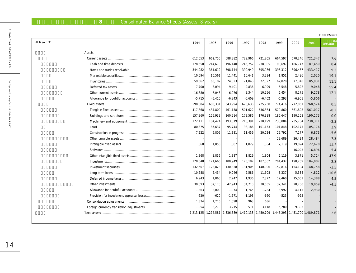# **8** Consolidated Balance Sheets (Assets, 8 years)

|             |           |           |           |           |          |                     |                     |          | /\ million) |
|-------------|-----------|-----------|-----------|-----------|----------|---------------------|---------------------|----------|-------------|
| At March 31 | 1994      | 1995      | 1996      | 1997      | 1998     | 1999                | 2000                | 2001     | (2001/2000) |
| Assets      |           |           |           |           |          |                     |                     |          |             |
|             | 612,653   | 662,755   | 688,382   | 729,966   | 721,205  | 664,597             | 670,246             | 721,347  | 7.6         |
|             | 178,650   | 214,673   | 196,140   | 245,757   | 238,305  | 193,697             | 186,747             | 187,459  | 0.4         |
|             | 344,982   | 361,612   | 398,144   | 390,949   | 395,986  | 396,312             | 396,467             | 433,417  | 9.3         |
|             | 10.594    | 10,561    | 11.441    | 10.641    | 3,234    | 1.851               | 2.496               | 2,020    | $-19.1$     |
|             | 59,562    | 66,182    | 74,023    | 71.048    | 72,827   | 67,028              | 77,340              | 85,931   | 11.1        |
|             | 7,700     | 8.094     | 9.401     | 9.836     | 6.999    | 5.548               | 5,822               | 9,048    | 55.4        |
|             | 16,880    | 7,043     | 6,076     | 8,344     | 10,256   | 6,454               | 8,275               | 9,278    | 12.1        |
|             | $-5,715$  | $-5,410$  | $-6,843$  | $-6,609$  | $-6,402$ | $-6,293$            | $-6,901$            | $-5,806$ |             |
|             | 598,084   | 608,331   | 643,994   | 678,638   | 725,750  | 774,416             | 772,061             | 768,524  | 0.5         |
|             | 417,868   | 434,809   | 461,158   | 501,622   | 536,364  | 570,860             | 561,898             | 561,017  | $-0.2$      |
|             | 157,860   | 155,939   | 160,214   | 173,586   | 176,988  | 185,647             | 190,258             | 190,173  | 0.0         |
|             | 172,411   | 184,424   | 193,819   | 218,391   | 238,199  | 233,884             | 235,764             | 230,311  | $-2.3$      |
|             | 80,375    | 87,637    | 95,744    | 98,186    | 101,153  | 101,848             | 102,175             | 105,176  | 2.9         |
|             | 7,222     | 6,809     | 11,381    | 11,459    | 20,024   | 25,792              | 7,277               | 6,873    | $-5.6$      |
|             |           |           |           |           |          | 23,689              | 26,424              | 28,484   | 7.8         |
|             | 1,868     | 1,856     | 1,887     | 1,829     | 1,804    | 2,119               | 19,894              | 22,620   | 13.7        |
|             |           |           |           |           |          |                     | 16,023              | 16,896   | 5.4         |
|             | 1,868     | 1,856     | 1,887     | 1,829     | 1,804    | 2,119               | 3,871               | 5,724    | 47.9        |
|             | 178,348   | 171,666   | 180,949   | 175,187   | 187,582  | 201,437             | 190,269             | 184,887  | $-2.8$      |
|             | 132,607   | 128,828   | 130,358   | 131,905   | 140,006  | 152,816             | 154,104             | 148,758  | $-3.5$      |
|             | 10,688    | 6,434     | 9,046     | 9,586     | 11,508   | 8,337               | 5,384               | 4,812    | $-10.6$     |
|             | 6,943     | 1,860     | 2,247     | 1,936     | 7,377    | 12,460              | 15,061              | 14,388   | $-4.5$      |
|             | 30,093    | 37,173    | 42,943    | 34,718    | 30,635   | 32,341              | 20,760              | 19,859   | $-4.3$      |
|             | $-1,363$  | $-2,009$  | $-1,974$  | $-1,765$  | $-1,284$ | $-3,992$            | $-4,115$            | $-2,930$ |             |
|             | $-620$    | $-620$    | $-1,671$  | $-1,193$  | $-660$   | $-525$              | $-925$              |          |             |
|             | 1,334     | 1,216     | 1.098     | 963       | 636      |                     |                     |          |             |
|             | 1.054     | 2,279     | 3,215     | 571       | 3.118    | 6,280               | 9.393               |          |             |
|             | 1,213,125 | 1,274,581 | 1,336,689 | 1,410,138 |          | 1,450,709 1,445,293 | 1,451,700 1,489,871 |          | 2.6         |
|             |           |           |           |           |          |                     |                     |          |             |

FINANCIAL STATEMENTS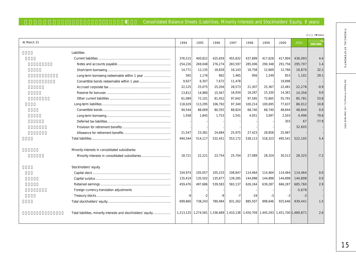## 8 Consolidated Balance Sheets (Liabilities, Minority Interests and Stockholders' Equity, 8 years)

| At March 31                                                    | 1994    | 1995                  | 1996    | 1997                                                        | 1998    | 1999    | 2000    | 2001     | (2001/2000) |
|----------------------------------------------------------------|---------|-----------------------|---------|-------------------------------------------------------------|---------|---------|---------|----------|-------------|
| Liabilities                                                    |         |                       |         |                                                             |         |         |         |          |             |
|                                                                | 376,515 | 400,822               | 425,659 | 455,832                                                     | 437,899 | 417,628 | 417,904 | 436,093  | 4.4         |
|                                                                | 254,226 | 269,048               | 276,274 | 283,597                                                     | 285,006 | 290,348 | 291,756 | 295,707  | 1.4         |
|                                                                | 14,771  | 12,135                | 18,828  | 16,143                                                      | 16,758  | 12,669  | 12,766  | 16,870   | 32.1        |
|                                                                | 565     | 1,176                 | 662     | 1,465                                                       | 956     | 1,249   | 853     | 1,101    | 29.1        |
|                                                                | 9.927   | 6,307                 | 7,672   | 11,478                                                      |         |         | 19,896  |          |             |
|                                                                | 22,125  | 25,075                | 25,204  | 28,573                                                      | 21,307  | 25,367  | 22,481  | 22,278   | $-0.9$      |
|                                                                | 13,812  | 14,980                | 15,567  | 16,934                                                      | 16,287  | 15,330  | 14,361  | 14,356   | 0.0         |
|                                                                | 61,089  | 72,101                | 81,452  | 97,642                                                      | 97,585  | 72,665  | 55,791  | 85,781   | 53.8        |
|                                                                | 118,029 | 113,295               | 106,792 | 97,340                                                      | 100,214 | 100,695 | 77,637  | 86,012   | 10.8        |
|                                                                | 94,544  | 88,069                | 80,355  | 68,824                                                      | 68,740  | 68,740  | 48,844  | 48,844   | 0.0         |
|                                                                | 1,938   | 1,845                 | 1,753   | 2,541                                                       | 4,051   | 3,097   | 2,503   | 4,496    | 79.6        |
|                                                                |         |                       |         |                                                             |         |         | 303     | 67       | $-77.9$     |
|                                                                |         |                       |         |                                                             |         |         |         | 32,605   |             |
|                                                                | 21,547  | 23,381                | 24,684  | 25,975                                                      | 27,423  | 28,858  | 25,987  |          |             |
|                                                                | 494,544 | 514,117               | 532,451 | 553,172                                                     | 538,113 | 518,323 | 495,541 | 522,105  | 5.4         |
| Minority interests in consolidated subsidiaries                |         |                       |         |                                                             |         |         |         |          |             |
| Minority interests in consolidated subsidiaries                | 18,721  | 22,221                | 23,754  | 25.704                                                      | 27,089  | 28,324  | 30,513  | 28.325   | $-7.2$      |
| Stockholders' equity                                           |         |                       |         |                                                             |         |         |         |          |             |
|                                                                | 104,974 | 105,057               | 105,233 | 108,847                                                     | 114,464 | 114,464 | 114,464 | 114.464  | 0.0         |
|                                                                | 135,419 | 135,502               | 135,677 | 139,285                                                     | 144,898 | 144,898 | 144,898 | 144,898  | 0.0         |
|                                                                | 459,476 | 497,686               | 539,583 | 583,137                                                     | 626,164 | 639,287 | 666,287 | 685,760  | 2.9         |
| Foreign currency translation adjustments                       |         |                       |         |                                                             |         |         |         | $-5,678$ |             |
|                                                                | $-9$    | -2                    | $-9$    | $-7$                                                        | $-19$   | $-3$    | -3      | -3       |             |
|                                                                | 699,860 | 738,243               | 780,484 | 831,262                                                     | 885,507 | 898,646 | 925,646 | 939,441  | 1.5         |
| Total liabilities, minority interests and stockholders' equity |         | 1,213,125   1,274,581 |         | 1,336,689 1,410,138 1,450,709 1,445,293 1,451,700 1,489,871 |         |         |         |          | 2.6         |

(**百万円 / ¥** million)

FINANCIAL STATEMENTS

15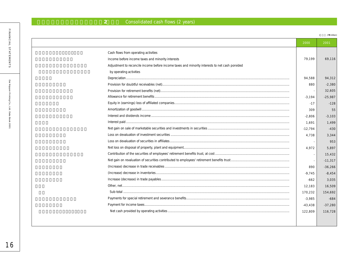# **2** Consolidated cash flows (2 years)

(**百万円 / ¥** million)

|                                                                                                | 2000      | 2001      |
|------------------------------------------------------------------------------------------------|-----------|-----------|
| Cash flows from operating activities                                                           |           |           |
| Income before income taxes and minority interests                                              | 79,199    | 69,116    |
| Adjustment to reconcile income before income taxes and minority interests to net cash porvided |           |           |
| by operating activities                                                                        |           |           |
|                                                                                                | 94,588    | 94,312    |
|                                                                                                | 880       | $-2,380$  |
|                                                                                                |           | 32.605    |
|                                                                                                | $-3,194$  | $-25,987$ |
|                                                                                                | $-17$     | $-128$    |
|                                                                                                | 309       | 55        |
|                                                                                                | $-2,806$  | $-3,103$  |
|                                                                                                | 1.691     | 1,499     |
|                                                                                                | $-12,794$ | $-430$    |
|                                                                                                | 4,738     | 3.344     |
|                                                                                                |           | 953       |
|                                                                                                | 4.972     | 5.897     |
|                                                                                                |           | 15,432    |
|                                                                                                |           | $-11,317$ |
|                                                                                                | 890       | $-36,266$ |
|                                                                                                | $-9,745$  | $-8,454$  |
|                                                                                                | $-662$    | 3,035     |
|                                                                                                | 12,183    | 16,509    |
|                                                                                                | 170.232   | 154.692   |
|                                                                                                | $-3,985$  | $-684$    |
|                                                                                                | $-43,438$ | $-37.280$ |
|                                                                                                | 122.809   | 116.728   |
|                                                                                                |           |           |
|                                                                                                |           |           |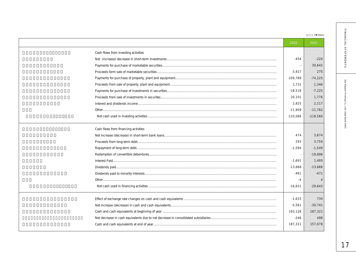|                                      |            | /\ million) |
|--------------------------------------|------------|-------------|
|                                      | 2000       | 2001        |
| Cash flows from investing activities |            |             |
|                                      | $-454$     | $-220$      |
|                                      |            | 30.642      |
|                                      | 5,927      | 275         |
|                                      | $-109,789$ | $-74,225$   |
|                                      | 1,731      | 1,346       |
|                                      | $-18,518$  | $-7,225$    |
|                                      | 20,101     | 1,776       |
|                                      | 2,825      | 2.117       |
|                                      | $-11,909$  | $-11,762$   |
|                                      | $-110,086$ | $-118,560$  |
| Cash flows from financing activities |            |             |
|                                      | 474        | 3.674       |
|                                      | 293        | 3,754       |
|                                      | $-1,594$   | $-1,549$    |
|                                      |            | $-19,896$   |
|                                      | $-1,691$   | 1,493       |
|                                      | $-13,668$  | $-13,666$   |
|                                      | $-461$     | $-471$      |
|                                      | $-4$       |             |
|                                      | $-16,651$  | $-29,643$   |
|                                      | $-1.633$   | 734         |
|                                      | $-5,561$   | $-30,741$   |
|                                      | 193,128    | 187,321     |
|                                      | $-246$     | 498         |
|                                      | 187,321    | 157,078     |
|                                      |            |             |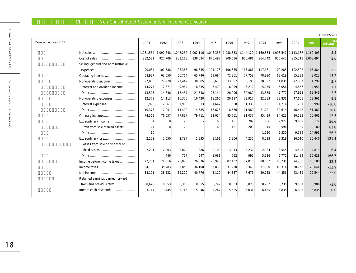# 11 Non-Consolidated Statements of Income (11 years)

|                      |                                     |                 |           |           |         |                     |           |           |           |         |         |                               | /\ million) |
|----------------------|-------------------------------------|-----------------|-----------|-----------|---------|---------------------|-----------|-----------|-----------|---------|---------|-------------------------------|-------------|
| Years ended March 31 |                                     | 1991            | 1992      | 1993      | 1994    | 1995                | 1996      | 1997      | 1998      | 1999    | 2000    | 2001                          | (2001/2000) |
|                      |                                     | 1,031,554       | 1,092,648 | 1,048,252 |         | 1,002,116 1,046,355 | 1,088,833 | 1,144,122 | 1,160,834 |         |         | 1,098,547 1,113,137 1,162,403 | 4.4         |
|                      |                                     | 882,581         | 927,709   | 883,118   | 838,034 | 875,497             | 909,636   | 950,481   | 964,742   | 925,642 |         | 955,311 1,008,494             | 5.6         |
|                      | Selling, general and administrative |                 |           |           |         |                     |           |           |           |         |         |                               |             |
|                      |                                     | 90,034          | 101,388   | 98,368    | 98,335  | 101,173             | 106,335   | 115,881   | 117,161   | 109,285 | 102,502 | 105,884                       | 3.3         |
|                      |                                     | 58,937          | 63,550    | 66,764    | 65,746  | 69,684              | 72,861    | 77,759    | 78,930    | 63,619  | 55,323  | 48,023                        | $-13.2$     |
|                      | Nonoperating income                 | 27,805          | 27,220    | 27,442    | 30,385  | 30,616              | 33,097    | 36,196    | 38.892    | 54,835  | 72,857  | 74,799                        | 2.7         |
|                      | Interest and dividend income        | 14,277          | 12,371    | 9.984     | 8.835   | 7.470               | 6.099     | 5.212     | 5,055     | 5,056   | 4,867   | 4.951                         | 1.7         |
|                      |                                     | 13,525          | 14,846    | 17,457    | 21,548  | 23,144              | 26,996    | 30,982    | 33,835    | 49,777  | 67,988  | 69,846                        | 2.7         |
|                      | Nonoperating expenses               | 12,373          | 14,113    | 16,370    | 16,420  | 18,266              | 20,197    | 22,917    | 22,383    | 33,831  | 47,651  | 52,361                        | 9.9         |
|                      |                                     | 1,996           | 2,061     | 1,966     | 1.833   | 1,642               | 1,530     | 1,336     | 1.161     | 1,214   | 1,201   | 999                           | $-16.8$     |
|                      |                                     | 10,376          | 12,051    | 14,402    | 14,585  | 16,623              | 18,666    | 21,580    | 21,221    | 32,614  | 46,448  | 51,361                        | 10.6        |
|                      |                                     | 74,369          | 76,657    | 77,837    | 79,711  | 82,034              | 85,761    | 91,037    | 95,439    | 84,623  | 80,528  | 70,461                        | $-12.5$     |
|                      | Extraordinary income                | 34              | R         | 20        |         | 68                  | 181       | 209       | 1,166     | 9.927   | 9,689   | 15.172                        | 56.6        |
|                      | Profit from sale of fixed assets    | 24              |           | 20        |         | 68                  | 181       | 209       | 45        | 596     | 99      | 180                           | 81.8        |
|                      |                                     | 10 <sup>1</sup> |           |           |         |                     |           |           | 1,120     | 9,330   | 9,589   | 14,991                        | 56.3        |
|                      |                                     | 2,202           | 2,650     | 2,787     | 2,835   | 3,161               | 3.806     | 4,230     | 8,523     | 9.319   | 16,010  | 35,446                        | 121.4       |
|                      | Losses from sale or disposal of     |                 |           |           |         |                     |           |           |           |         |         |                               |             |
|                      |                                     | 2,201           | 2,203     | 2,029     | 1,886   | 2,100               | 3,043     | 3,232     | 2,984     | 3,545   | 4,523   | 4,813                         | 6.4         |
|                      |                                     |                 | 446       | 757       | 947     | 1,061               | 762       | 995       | 5,536     | 5,772   | 11,484  | 30,628                        | 166.7       |
|                      | Income before income taxes          | 72,201          | 74,016    | 75,070    | 76,876  | 78,940              | 82,137    | 87,016    | 88,082    | 85,231  | 74,208  | 50,188                        | $-32.4$     |
|                      |                                     | 34.100          | 35.483    | 35,850    | 36.100  | 35,830              | 37,250    | 39,340    | 37,900    | 40,374  | 30,768  | 20,644                        | $-32.9$     |
|                      |                                     | 38.101          | 38,532    | 39,220    | 40.776  | 43,110              | 44.887    | 47.676    | 50.182    | 44.856  | 43.439  | 29,544                        | $-32.0$     |
|                      | Retained earnings carried forward   |                 |           |           |         |                     |           |           |           |         |         |                               |             |
|                      | from end previous term              | 8,628           | 8,353     | 8,363     | 8.655   | 8,797               | 8,353     | 8,826     | 8,902     | 8,735   | 9,087   | 8,906                         | $-2.0$      |
|                      | Interim cash dividends              | 3,744           | 3,745     | 3,746     | 5,246   | 5,247               | 5,625     | 6,031     | 6,455     | 6,835   | 6,835   | 6,835                         | 0.0         |
|                      |                                     |                 |           |           |         |                     |           |           |           |         |         |                               |             |

FINANCIAL STATEMENTS 18FINANCIAL STATEMENTS Dai Nippon Printing Co., Ltd. Data Book 2001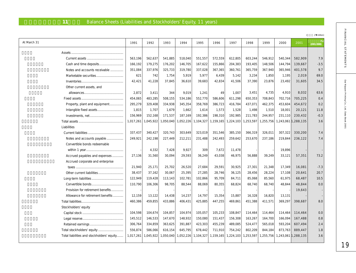## 11 Balance Sheets (Liabilities and Stockholders' Equity, 11 years)

| At March 31                                | 1991    | 1992                | 1993      | 1994      | 1995                | 1996      | 1997      | 1998      | 1999      | 2000    | 2001                | (2001/2000) |
|--------------------------------------------|---------|---------------------|-----------|-----------|---------------------|-----------|-----------|-----------|-----------|---------|---------------------|-------------|
|                                            |         |                     |           |           |                     |           |           |           |           |         |                     |             |
|                                            | 563,196 | 562,637             | 541,885   | 518,040   | 551,557             | 572,559   | 612,805   | 603,244   | 546,912   | 540,344 | 582,909             | 7.9         |
|                                            | 166,192 | 179,275             | 176,202   | 146,705   | 167,622             | 155,866   | 204,383   | 193,405   | 148,506   | 144,794 | 139,667             | $-3.5$      |
| Notes and accounts receivable              | 351,084 | 337,976             | 325,733   | 319,780   | 337,028             | 367,365   | 360,761   | 365,759   | 367,940   | 365,946 | 401,578             | 9.7         |
|                                            | 621     | 742                 | 1,754     | 5,919     | 5,977               | 6,439     | 5,142     | 3,234     | 1,850     | 1,195   | 2,019               | 69.0        |
|                                            | 42,421  | 41,228              | 37,845    | 36,610    | 39,683              | 42,834    | 41,506    | 37,390    | 23,876    | 23,492  | 31,605              | 34.5        |
| Other current assets, and                  |         |                     |           |           |                     |           |           |           |           |         |                     |             |
|                                            | 2,872   | 3,411               | 344       | 9,019     | 1,241               | 49        | 1,007     | 3,451     | 4,735     | 4,910   | 8,032               | 63.6        |
|                                            | 454,065 | 483,285             | 508,155   | 534,186   | 552,770             | 586,606   | 611,298   | 650,353   | 708,843   | 702,716 | 705,225             | 0.4         |
| Property, plant and equipment              | 295,279 | 329,408             | 334,938   | 345,354   | 358,769             | 386,723   | 416,784   | 437,071   | 462,375   | 453,604 | 454,672             | 0.2         |
|                                            | 1,815   | 1,707               | 1,679     | 1,662     | 1,614               | 1,573     | 1,528     | 1,498     | 1,510     | 18,001  | 20,121              | 11.8        |
|                                            | 156,969 | 152,168             | 171,537   | 187,169   | 192,386             | 198,310   | 192,985   | 211,783   | 244,957   | 231,110 | 230,432             | $-0.3$      |
|                                            |         | 1,017,261 1,045,922 | 1,050,040 | 1,052,226 | 1,104,327           | 1,159,165 | 1,224,103 | 1,253,597 | 1,255,756 |         | 1,243,061 1,288,135 | 3.6         |
| Liabilities                                |         |                     |           |           |                     |           |           |           |           |         |                     |             |
|                                            | 337,437 | 340,427             | 320,743   | 303,649   | 323,019             | 351,546   | 385,150   | 366,319   | 326,011   | 307,322 | 330,200             | 7.4         |
|                                            |         |                     |           |           |                     |           |           |           |           |         |                     | 7.4         |
| Notes and accounts payable                 | 249,921 | 242,198             | 227,449   | 212,211   | 231,488             | 242,493   | 259,642   | 253,670   | 237,186   | 219,844 | 236,122             |             |
| Convertible bonds redeemable               |         |                     |           |           |                     |           |           |           |           |         |                     |             |
|                                            |         | 4,332               | 7,428     | 9,927     | 309                 | 7,672     | 11,478    |           |           | 19,896  |                     |             |
| Accrued payables and expenses              | 27,136  | 31,560              | 30,094    | 29,593    | 36,249              | 43,038    | 46,975    | 56,888    | 39,249    | 33,121  | 57,351              | 73.2        |
| Accrued corporate and enterprise           |         |                     |           |           |                     |           |           |           |           |         |                     |             |
|                                            | 21,940  | 25,171              | 25,702    | 26,520    | 27,684              | 29,591    | 30,925    | 27,301    | 21,348    | 17,349  | 16,081              | $-7.3$      |
|                                            | 38,437  | 37,162              | 30,067    | 25,395    | 27,285              | 28,746    | 36,125    | 28,456    | 28,224    | 17,108  | 20,641              | 20.7        |
|                                            | 122,949 | 119,428             | 113,143   | 102,781   | 102,866             | 95,709    | 84,711    | 85,068    | 85,560    | 61,975  | 68,487              | 10.5        |
|                                            | 110,790 | 106,306             | 98,705    | 88,544    | 88,069              | 80,355    | 68,824    | 68,740    | 68,740    | 48,844  | 48,844              | 0.0         |
| Provision for retirement benefits          |         |                     |           |           |                     |           |           |           |           |         | 19,643              |             |
| Allowance for retirement benefits          | 12,159  | 13,122              | 14,438    | 14,237    | 14,797              | 15,354    | 15,887    | 16,328    | 16,820    | 13,131  |                     |             |
|                                            | 460,386 | 459,855             | 433,886   | 406,431   | 425,885             | 447,255   | 469,861   | 451,388   | 411,571   | 369,297 | 398,687             | 8.0         |
| Stockholders' equity                       |         |                     |           |           |                     |           |           |           |           |         |                     |             |
|                                            | 104,598 | 104,674             | 104,857   | 104,974   | 105,057             | 105,233   | 108,847   | 114,464   | 114,464   | 114,464 | 114,464             | 0.0         |
|                                            | 145,512 | 146,533             | 147,670   | 148,932   | 150,080             | 151,437   | 156,308   | 163,267   | 164,700   | 166,094 | 167,488             | 0.8         |
|                                            | 306,764 | 334,859             | 363,625   | 391,887   | 423,303             | 455,239   | 489,085   | 524,477   | 565,018   | 593,204 | 607,494             | 2.4         |
| Total stockholders' equity                 | 556,874 | 586,066             | 616,154   | 645,795   | 678,442             | 711,910   | 754,242   | 802,209   | 844,184   | 873,763 | 889,447             | 1.8         |
| Total liabilities and stockholders' equity |         | 1,017,261 1,045,922 | 1,050,040 |           | 1,052,226 1,104,327 | 1,159,165 | 1,224,103 | 1,253,597 | 1,255,756 |         | 1,243,061 1,288,135 | 3.6         |

19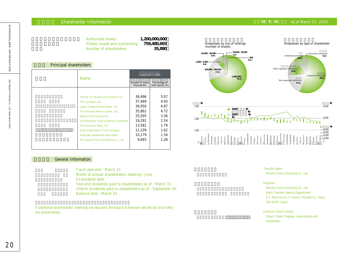### **Shareholder Information**

| Principal shareholders |                                              |                                |                                   |
|------------------------|----------------------------------------------|--------------------------------|-----------------------------------|
|                        | <b>Name</b>                                  |                                | Investment in DNP                 |
|                        |                                              | Number of share<br>(thousands) | Percentage of<br>total equity (%) |
|                        |                                              |                                |                                   |
|                        | The Dai-ichi Mutual Life Insurance Co.       | 38,496                         | 5.07                              |
|                        | The Fuji Bank, Ltd.                          | 37,469                         | 4.93                              |
|                        | Japan Trustee Services Bank, Ltd.            | 36,950                         | 4.87                              |
|                        | The Industrial Bank of Japan, Ltd.           | 35,862                         | 4.72                              |
|                        | Nippon Life Insurance Co.                    | 25,505                         | 3.36                              |
|                        | The Mitsubishi Trust & Banking Corporation   | 19,291                         | 2.54                              |
|                        | The Sumitomo Bank, Ltd.                      | 13,581                         | 1.79                              |
|                        | <b>State Street Bank &amp; Trust Company</b> | 12,339                         | 1.62                              |
|                        | Employee shareholder Association             | 10,179                         | 1.34                              |
|                        |                                              |                                |                                   |

### **General Information**

Fiscal year-end : March 31 Month of annual shareholders' meeting : June Ex-dividend date Year-end dividends paid to shareholders as of : March 31 Interim dividends paid to shareholders as of : September 30 Balance date : March 31

If additional shareholders' meetings are required, the board of directors will decide and notify the shareholders.



Transfer Agent Mizuho Trust & Banking Co., Ltd.

### Registrar

Mizuho Trust & Banking Co., Ltd. Stock Transfer Agency Department 5-1, Marunouchi 1-chome, Chiyoda-ku, Tokyo 100-8240, Japan

Common Stock Listing Tokyo, Osaka, Nagoya, Luxembourg and Amsterdam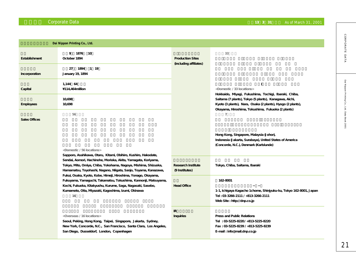## **Corporate Data 2001 As of March 31, 2001 Corporate Data As of March 31, 2001**

|                                                                                                                                                                                                                                                               | Dai Nippon Printing Co., Ltd.                                                                                                                                                                                                   |                                             |                                                                                                                                                                            |
|---------------------------------------------------------------------------------------------------------------------------------------------------------------------------------------------------------------------------------------------------------------|---------------------------------------------------------------------------------------------------------------------------------------------------------------------------------------------------------------------------------|---------------------------------------------|----------------------------------------------------------------------------------------------------------------------------------------------------------------------------|
| <b>Establishment</b>                                                                                                                                                                                                                                          | 9 1876<br>- 10<br>October 1894                                                                                                                                                                                                  | <b>Production Sites</b>                     | 33                                                                                                                                                                         |
| Incorporation                                                                                                                                                                                                                                                 | 27 1894 1 19<br>January 19, 1894                                                                                                                                                                                                | (including affiliates)                      |                                                                                                                                                                            |
| Capital                                                                                                                                                                                                                                                       | 1,144 64<br>\114,464million                                                                                                                                                                                                     |                                             | <domestic 33="" locations=""><br/>Hokkaido, Miyagi, Fukushima, Tochigi, Ibaraki, Chiba,</domestic>                                                                         |
| <b>Employees</b>                                                                                                                                                                                                                                              | 10,698<br>10,698                                                                                                                                                                                                                |                                             | Saitama (7 plants), Tokyo (5 plants), Kanagawa, Aichi,<br>Kyoto (3 plants), Nara, Osaka (2 plants), Hyogo (2 plants),<br>Okayama, Hiroshima, Tokushima, Fukuoka (2 plants) |
| <b>Sales Offices</b>                                                                                                                                                                                                                                          | 56                                                                                                                                                                                                                              |                                             | $\overline{7}$                                                                                                                                                             |
|                                                                                                                                                                                                                                                               | <domestic 56="" locations=""><br/>Sapporo, Asahikawa, Otaru, Kitami, Obihiro, Kushiro, Hakodate,</domestic>                                                                                                                     |                                             | Hong Kong, Singapore, Malaysia (Johor),<br>Indonesia (Jakarta, Surabaya), United States of America<br>(Concorde, N.C.), Denmark (Karlslunde)                               |
|                                                                                                                                                                                                                                                               | Sendai, Aomori, Hachinohe, Morioka, Akita, Yamagata, Koriyama,<br>Tokyo, Mito, Omiya, Chiba, Yokohama, Nagoya, Mishima, Shizuoka,<br>Hamamatsu, Toyohashi, Nagano, Niigata, Sanjo, Toyama, Kanazawa,                            | <b>Research Institute</b><br>(9 Institutes) | Tokyo, Chiba, Saitama, Ibaraki                                                                                                                                             |
| Fukui, Osaka, Kyoto, Kobe, Himeji, Hiroshima, Yonago, Okayama,<br>Fukuyama, Yamaguchi, Takamatsu, Tokushima, Kannonji, Matsuyama,<br>Kochi, Fukuoka, Kitakyushu, Kurume, Saga, Nagasaki, Sasebo,<br>Kumamoto, Oita, Miyazaki, Kagoshima, Izumi, Okinawa<br>16 |                                                                                                                                                                                                                                 | <b>Head Office</b>                          | 162-8001<br>1-1, Ichigaya Kagacho 1chome, Shinjyuku-ku, Tokyo 162-8001, Japan<br>Tel: 03-3266-2111 / +813-3266-2111<br>Web Site: http://dnp.co.jp                          |
|                                                                                                                                                                                                                                                               | <overseas 16="" locations=""><br/>Seoul, Peking, Hong Kong, Taipei, Singapore, Jakarta, Sydney,<br/>New York, Concorde, N.C., San Francisco, Santa Clara, Los Angeles,<br/>San Diego, Dusseldorf, London, Copenhagen</overseas> | IR<br>Inquiries                             | <b>Press and Public Relations</b><br>Tel: 03-5225-8220/+813-5225-8220<br>Fax: 03-5225-8239 / +813-5225-8239<br>E-mail: info@mail.dnp.co.jp                                 |